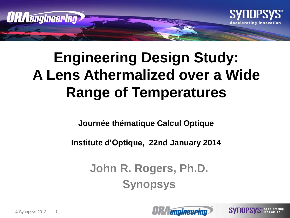

#### **Engineering Design Study: A Lens Athermalized over a Wide Range of Temperatures**

**Journée thématique Calcul Optique**

**Institute d'Optique, 22nd January 2014**

**John R. Rogers, Ph.D. Synopsys**



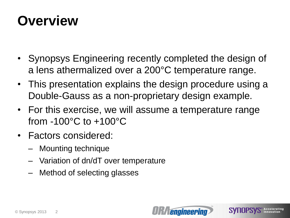#### **Overview**

- Synopsys Engineering recently completed the design of a lens athermalized over a 200°C temperature range.
- This presentation explains the design procedure using a Double-Gauss as a non-proprietary design example.
- For this exercise, we will assume a temperature range from -100°C to +100°C
- Factors considered:
	- Mounting technique
	- Variation of dn/dT over temperature
	- Method of selecting glasses



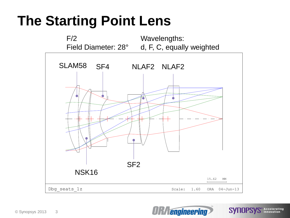#### **The Starting Point Lens**



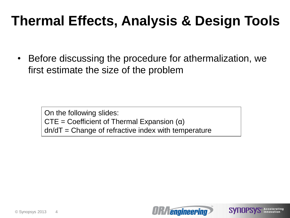#### **Thermal Effects, Analysis & Design Tools**

• Before discussing the procedure for athermalization, we first estimate the size of the problem

> On the following slides:  $CTE = Coefficient of Thermal Expansion  $(\alpha)$$  $dn/dT = Change$  of refractive index with temperature

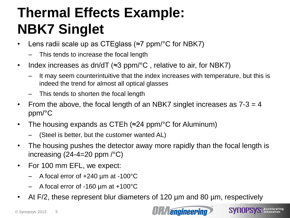#### **Thermal Effects Example: NBK7 Singlet**

- Lens radii scale up as CTEglass (≈7 ppm/°C for NBK7)
	- This tends to increase the focal length
- Index increases as dn/dT (≈3 ppm/ $\rm ^{\circ}C$ , relative to air, for NBK7)
	- It may seem counterintuitive that the index increases with temperature, but this is indeed the trend for almost all optical glasses
	- This tends to shorten the focal length
- From the above, the focal length of an NBK7 singlet increases as  $7-3 = 4$ ppm/°C
- The housing expands as CTEh (≈24 ppm/°C for Aluminum)
	- (Steel is better, but the customer wanted AL)
- The housing pushes the detector away more rapidly than the focal length is increasing  $(24-4=20$  ppm  $\sqrt{°}C$ )
- For 100 mm EFL, we expect:
	- $-$  A focal error of  $+240 \mu m$  at -100 $^{\circ}$ C
	- A focal error of -160 µm at +100°C
- At F/2, these represent blur diameters of 120 µm and 80 µm, respectively

**engineering** 

**SYNOPSYS** Accelerating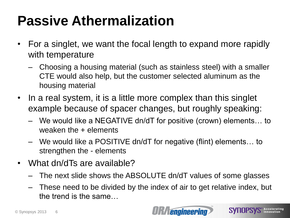#### **Passive Athermalization**

- For a singlet, we want the focal length to expand more rapidly with temperature
	- Choosing a housing material (such as stainless steel) with a smaller CTE would also help, but the customer selected aluminum as the housing material
- In a real system, it is a little more complex than this singlet example because of spacer changes, but roughly speaking:
	- We would like a NEGATIVE dn/dT for positive (crown) elements… to weaken the + elements
	- We would like a POSITIVE dn/dT for negative (flint) elements… to strengthen the - elements
- What dn/dTs are available?
	- The next slide shows the ABSOLUTE dn/dT values of some glasses
	- These need to be divided by the index of air to get relative index, but the trend is the same…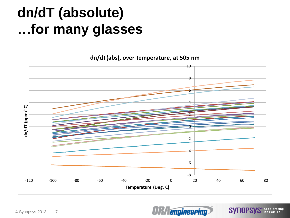#### **dn/dT (absolute) …for many glasses**





**SYNOPSYS** Accelerating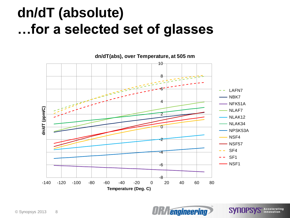#### **dn/dT (absolute) …for a selected set of glasses**



*<u>engineering</u>* 

**SYNOPSYS** Accelerating

**dn/dT(abs), over Temperature, at 505 nm**

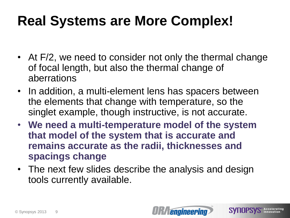#### **Real Systems are More Complex!**

- At F/2, we need to consider not only the thermal change of focal length, but also the thermal change of aberrations
- In addition, a multi-element lens has spacers between the elements that change with temperature, so the singlet example, though instructive, is not accurate.
- **We need a multi-temperature model of the system that model of the system that is accurate and remains accurate as the radii, thicknesses and spacings change**
- The next few slides describe the analysis and design tools currently available.



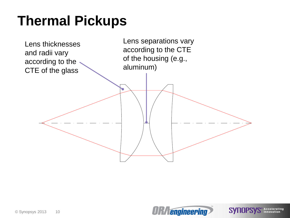#### **Thermal Pickups**



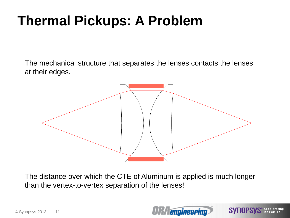#### **Thermal Pickups: A Problem**

The mechanical structure that separates the lenses contacts the lenses at their edges.



The distance over which the CTE of Aluminum is applied is much longer than the vertex-to-vertex separation of the lenses!



SYNOPS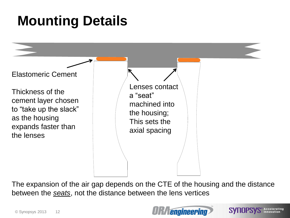#### **Mounting Details**



The expansion of the air gap depends on the CTE of the housing and the distance between the *seats*, not the distance between the lens vertices



**SYNOPSYS** Accelerating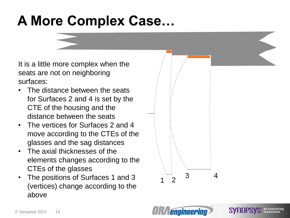#### **A More Complex Case…**

It is a little more complex when the seats are not on neighboring surfaces:

- The distance between the seats for Surfaces 2 and 4 is set by the CTE of the housing and the distance between the seats
- The vertices for Surfaces 2 and 4 move according to the CTEs of the glasses and the sag distances
- The axial thicknesses of the elements changes according to the CTEs of the glasses
- The positions of Surfaces 1 and 3 (vertices) change according to the above



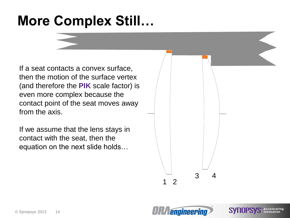#### **More Complex Still…**

If a seat contacts a convex surface, then the motion of the surface vertex (and therefore the **PIK** scale factor) is even more complex because the contact point of the seat moves away from the axis.

If we assume that the lens stays in contact with the seat, then the equation on the next slide holds…



SYNU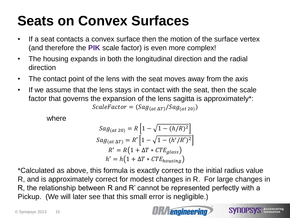#### **Seats on Convex Surfaces**

- If a seat contacts a convex surface then the motion of the surface vertex (and therefore the **PIK** scale factor) is even more complex!
- The housing expands in both the longitudinal direction and the radial direction
- The contact point of the lens with the seat moves away from the axis
- If we assume that the lens stays in contact with the seat, then the scale factor that governs the expansion of the lens sagitta is approximately\*:  $ScaleFactor = (Sag_{(at\Delta T)}/Sag_{(at\ 20)})$

where

$$
Sag_{(at\ 20)} = R \left[ 1 - \sqrt{1 - (h/R)^2} \right]
$$
  
\n
$$
Sag_{(at\ \Delta T)} = R' \left[ 1 - \sqrt{1 - (h'/R')^2} \right]
$$
  
\n
$$
R' = R \left( 1 + \Delta T * CTE_{glass} \right)
$$
  
\n
$$
h' = h \left( 1 + \Delta T * CTE_{housing} \right)
$$

\*Calculated as above, this formula is exactly correct to the initial radius value R, and is approximately correct for modest changes in R. For large changes in R, the relationship between R and R' cannot be represented perfectly with a Pickup. (We will later see that this small error is negligible.)

**engineering** 

**SYNOPSYS** Accelerating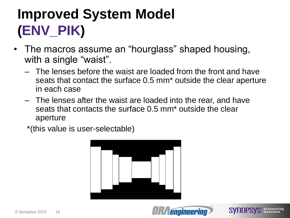## **Improved System Model (ENV\_PIK)**

- The macros assume an "hourglass" shaped housing, with a single "waist".
	- The lenses before the waist are loaded from the front and have seats that contact the surface 0.5 mm\* outside the clear aperture in each case
	- The lenses after the waist are loaded into the rear, and have seats that contacts the surface 0.5 mm\* outside the clear aperture

\*(this value is user-selectable)

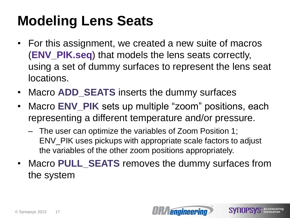#### **Modeling Lens Seats**

- For this assignment, we created a new suite of macros (**ENV\_PIK.seq**) that models the lens seats correctly, using a set of dummy surfaces to represent the lens seat locations.
- Macro **ADD\_SEATS** inserts the dummy surfaces
- Macro **ENV\_PIK** sets up multiple "zoom" positions, each representing a different temperature and/or pressure.
	- The user can optimize the variables of Zoom Position 1; ENV\_PIK uses pickups with appropriate scale factors to adjust the variables of the other zoom positions appropriately.
- Macro **PULL\_SEATS** removes the dummy surfaces from the system

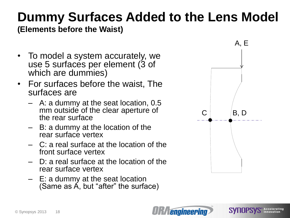# **Dummy Surfaces Added to the Lens Model**

**(Elements before the Waist)**

- To model a system accurately, we use 5 surfaces per element (3 of which are dummies)
- For surfaces before the waist, The surfaces are
	- A: a dummy at the seat location, 0.5 mm outside of the clear aperture of the rear surface
	- B: a dummy at the location of the rear surface vertex
	- C: a real surface at the location of the front surface vertex
	- D: a real surface at the location of the rear surface vertex
	- E: a dummy at the seat location (Same as  $\acute{A}$ , but "after" the surface)



**SYHUPS!** 



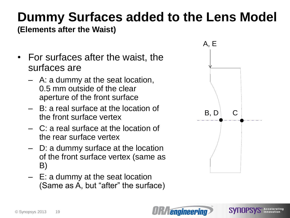#### **Dummy Surfaces added to the Lens Model**

**(Elements after the Waist)**

- For surfaces after the waist, the surfaces are
	- A: a dummy at the seat location, 0.5 mm outside of the clear aperture of the front surface
	- B: a real surface at the location of the front surface vertex
	- C: a real surface at the location of the rear surface vertex
	- D: a dummy surface at the location of the front surface vertex (same as B)
	- E: a dummy at the seat location (Same as A, but "after" the surface)





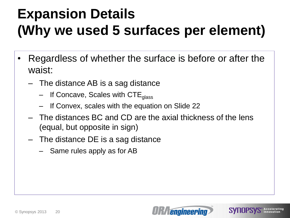#### **Expansion Details (Why we used 5 surfaces per element)**

- Regardless of whether the surface is before or after the waist:
	- The distance AB is a sag distance
		- $-$  If Concave, Scales with CTE  $_{glass}$
		- If Convex, scales with the equation on Slide 22
	- The distances BC and CD are the axial thickness of the lens (equal, but opposite in sign)
	- The distance DE is a sag distance
		- Same rules apply as for AB

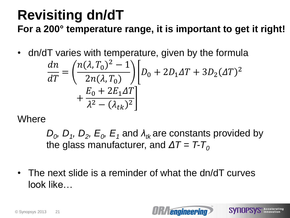#### **Revisiting dn/dT For a 200° temperature range, it is important to get it right!**

• dn/dT varies with temperature, given by the formula

$$
\frac{dn}{dT} = \left(\frac{n(\lambda, T_0)^2 - 1}{2n(\lambda, T_0)}\right) \left[D_0 + 2D_1\Delta T + 3D_2(\Delta T)^2 + \frac{E_0 + 2E_1\Delta T}{\lambda^2 - (\lambda_{tk})^2}\right]
$$

**Where** 

 $D_0$ ,  $D_1$ ,  $D_2$ ,  $E_0$ ,  $E_1$  and  $\lambda_{tk}$  are constants provided by the glass manufacturer, and  $\Delta T = T - T_0$ 

*<u>engineering</u>* 

**SVIIOPSVS** Accelerating

• The next slide is a reminder of what the dn/dT curves look like…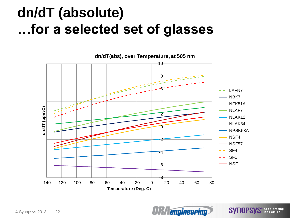#### **dn/dT (absolute) …for a selected set of glasses**



*<u>engineering</u>* 

**SYNOPSYS** Accelerating

**dn/dT(abs), over Temperature, at 505 nm**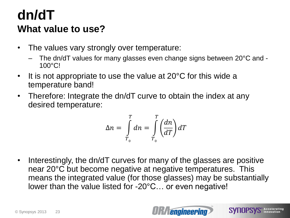#### **dn/dT What value to use?**

- The values vary strongly over temperature:
	- The dn/dT values for many glasses even change signs between 20°C and 100°C!
- It is not appropriate to use the value at 20°C for this wide a temperature band!
- Therefore: Integrate the dn/dT curve to obtain the index at any desired temperature:

$$
\Delta n = \int_{T_0}^{T} dn = \int_{T_0}^{T} \left(\frac{dn}{dT}\right) dT
$$

• Interestingly, the dn/dT curves for many of the glasses are positive near 20°C but become negative at negative temperatures. This means the integrated value (for those glasses) may be substantially lower than the value listed for -20°C… or even negative!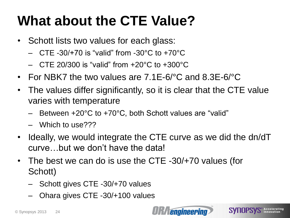#### **What about the CTE Value?**

- Schott lists two values for each glass:
	- $-$  CTE -30/+70 is "valid" from -30°C to +70°C
	- $-$  CTE 20/300 is "valid" from  $+20^{\circ}$ C to  $+300^{\circ}$ C
- For NBK7 the two values are 7.1E-6/°C and 8.3E-6/°C
- The values differ significantly, so it is clear that the CTE value varies with temperature
	- Between +20°C to +70°C, both Schott values are "valid"
	- Which to use???
- Ideally, we would integrate the CTE curve as we did the dn/dT curve…but we don't have the data!
- The best we can do is use the CTE -30/+70 values (for Schott)
	- Schott gives CTE -30/+70 values
	- Ohara gives CTE -30/+100 values

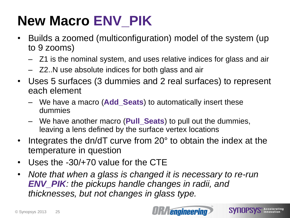## **New Macro ENV\_PIK**

- Builds a zoomed (multiconfiguration) model of the system (up to 9 zooms)
	- Z1 is the nominal system, and uses relative indices for glass and air
	- Z2..N use absolute indices for both glass and air
- Uses 5 surfaces (3 dummies and 2 real surfaces) to represent each element
	- We have a macro (**Add\_Seats**) to automatically insert these dummies
	- We have another macro (**Pull\_Seats**) to pull out the dummies, leaving a lens defined by the surface vertex locations
- Integrates the dn/dT curve from 20° to obtain the index at the temperature in question
- Uses the -30/+70 value for the CTE
- *Note that when a glass is changed it is necessary to re-run ENV\_PIK: the pickups handle changes in radii, and thicknesses, but not changes in glass type.*

**SVIIOPSVS** Accelerating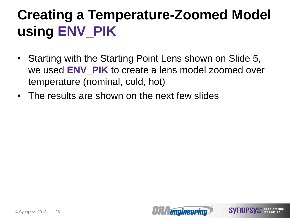#### **Creating a Temperature-Zoomed Model using ENV\_PIK**

- Starting with the Starting Point Lens shown on Slide 5, we used **ENV\_PIK** to create a lens model zoomed over temperature (nominal, cold, hot)
- The results are shown on the next few slides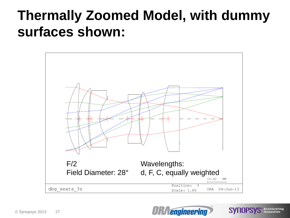#### **Thermally Zoomed Model, with dummy surfaces shown:**



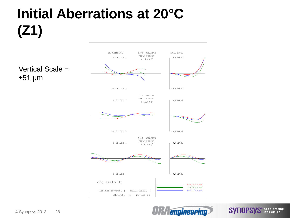#### **Initial Aberrations at 20°C (Z1)**

Vertical Scale =  $±51 \mu m$ 





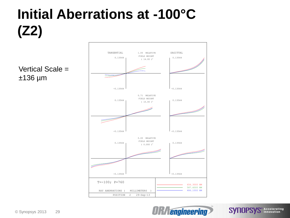## **Initial Aberrations at -100°C (Z2)**

Vertical Scale = ±136 µm





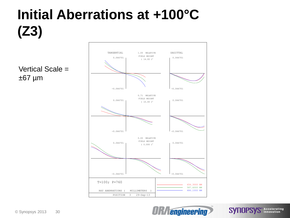## **Initial Aberrations at +100°C (Z3)**

Vertical Scale =  $±67 \mu m$ 





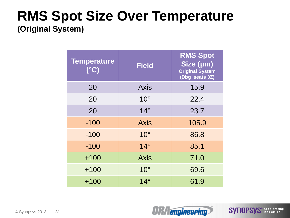#### **RMS Spot Size Over Temperature (Original System)**

| <b>Temperature</b><br>(°C) | <b>Field</b>    | <b>RMS Spot</b><br>Size (µm)<br><b>Original System</b><br>(Dbg_seats 3Z) |
|----------------------------|-----------------|--------------------------------------------------------------------------|
| 20                         | <b>Axis</b>     | 15.9                                                                     |
| 20                         | $10^{\circ}$    | 22.4                                                                     |
| 20                         | $14^\circ$      | 23.7                                                                     |
| $-100$                     | <b>Axis</b>     | 105.9                                                                    |
| $-100$                     | 10 <sup>°</sup> | 86.8                                                                     |
| $-100$                     | $14^\circ$      | 85.1                                                                     |
| $+100$                     | <b>Axis</b>     | 71.0                                                                     |
| $+100$                     | 10 <sup>°</sup> | 69.6                                                                     |
| $+100$                     | $14^\circ$      | 61.9                                                                     |



**SYNOPSYS** Accelerating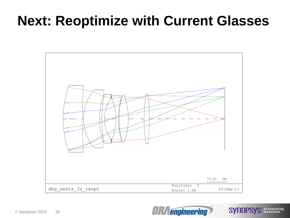#### **Next: Reoptimize with Current Glasses**



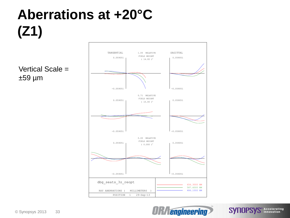## **Aberrations at +20°C (Z1)**

Vertical Scale =  $±59 \mu m$ 





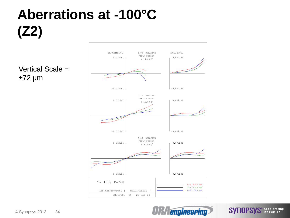## **Aberrations at -100°C (Z2)**

Vertical Scale =  $±72 \mu m$ 





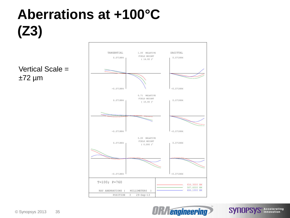## **Aberrations at +100°C (Z3)**

Vertical Scale =  $±72 \mu m$ 





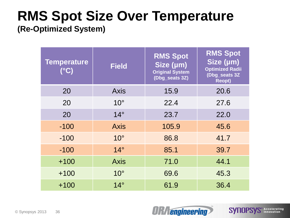#### **RMS Spot Size Over Temperature**

**(Re-Optimized System)**

| <b>Temperature</b><br>(°C) | <b>Field</b> | <b>RMS Spot</b><br>Size (µm)<br><b>Original System</b><br>(Dbg_seats 3Z) | <b>RMS Spot</b><br>Size (µm)<br><b>Optimized Radii</b><br>(Dbg_seats 3Z<br><b>Reopt)</b> |
|----------------------------|--------------|--------------------------------------------------------------------------|------------------------------------------------------------------------------------------|
| 20                         | <b>Axis</b>  | 15.9                                                                     | 20.6                                                                                     |
| 20                         | $10^{\circ}$ | 22.4                                                                     | 27.6                                                                                     |
| 20                         | $14^\circ$   | 23.7                                                                     | 22.0                                                                                     |
| $-100$                     | <b>Axis</b>  | 105.9                                                                    | 45.6                                                                                     |
| $-100$                     | $10^{\circ}$ | 86.8                                                                     | 41.7                                                                                     |
| $-100$                     | $14^\circ$   | 85.1                                                                     | 39.7                                                                                     |
| $+100$                     | <b>Axis</b>  | 71.0                                                                     | 44.1                                                                                     |
| $+100$                     | $10^{\circ}$ | 69.6                                                                     | 45.3                                                                                     |
| $+100$                     | $14^\circ$   | 61.9                                                                     | 36.4                                                                                     |



**SYNOPSYS** Accelerating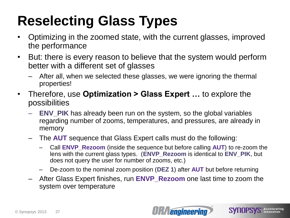## **Reselecting Glass Types**

- Optimizing in the zoomed state, with the current glasses, improved the performance
- But: there is every reason to believe that the system would perform better with a different set of glasses
	- After all, when we selected these glasses, we were ignoring the thermal properties!
- Therefore, use **Optimization > Glass Expert …** to explore the possibilities
	- **ENV\_PIK** has already been run on the system, so the global variables regarding number of zooms, temperatures, and pressures, are already in memory
	- The **AUT** sequence that Glass Expert calls must do the following:
		- Call **ENVP\_Rezoom** (inside the sequence but before calling **AUT**) to re-zoom the lens with the current glass types. (**ENVP\_Rezoom** is identical to **ENV\_PIK**, but does not query the user for number of zooms, etc.)
		- De-zoom to the nominal zoom position (**DEZ 1**) after **AUT** but before returning
	- After Glass Expert finishes, run **ENVP\_Rezoom** one last time to zoom the system over temperature

**SYNOPSYS** Accelerating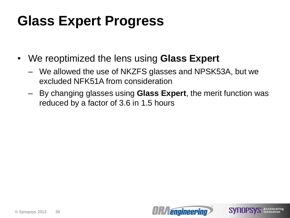#### **Glass Expert Progress**

- We reoptimized the lens using **Glass Expert**
	- We allowed the use of NKZFS glasses and NPSK53A, but we excluded NFK51A from consideration
	- By changing glasses using **Glass Expert**, the merit function was reduced by a factor of 3.6 in 1.5 hours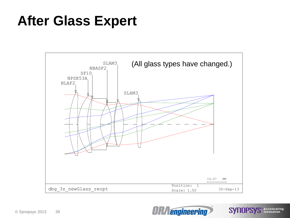#### **After Glass Expert**



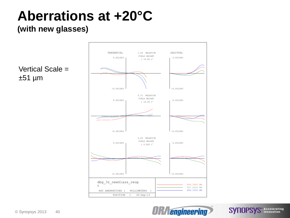### **Aberrations at +20°C**

#### **(with new glasses)**

 $±51 \mu m$ 



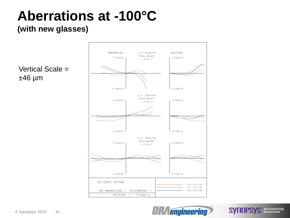#### **Aberrations at -100°C**

#### **(with new glasses)**



© Synopsys 2013 41

 $±46 \mu m$ 

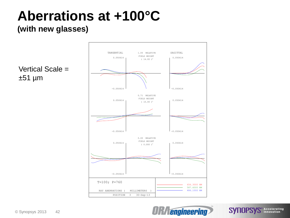## **Aberrations at +100°C**

#### **(with new glasses)**

 $±51 \mu m$ 



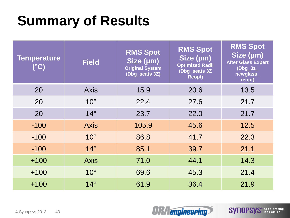#### **Summary of Results**

| <b>Temperature</b><br>$(^{\circ}C)$ | <b>Field</b> | <b>RMS Spot</b><br>Size (µm)<br><b>Original System</b><br>(Dbg_seats 3Z) | <b>RMS Spot</b><br>Size (µm)<br><b>Optimized Radii</b><br>(Dbg_seats 3Z<br><b>Reopt)</b> | <b>RMS Spot</b><br>Size (µm)<br><b>After Glass Expert</b><br>$(Dbg_3z_$<br>newglass_<br>reopt) |
|-------------------------------------|--------------|--------------------------------------------------------------------------|------------------------------------------------------------------------------------------|------------------------------------------------------------------------------------------------|
| 20                                  | <b>Axis</b>  | 15.9                                                                     | 20.6                                                                                     | 13.5                                                                                           |
| 20                                  | $10^{\circ}$ | 22.4                                                                     | 27.6                                                                                     | 21.7                                                                                           |
| 20                                  | $14^\circ$   | 23.7                                                                     | 22.0                                                                                     | 21.7                                                                                           |
| $-100$                              | <b>Axis</b>  | 105.9                                                                    | 45.6                                                                                     | 12.5                                                                                           |
| $-100$                              | $10^{\circ}$ | 86.8                                                                     | 41.7                                                                                     | 22.3                                                                                           |
| $-100$                              | $14^\circ$   | 85.1                                                                     | 39.7                                                                                     | 21.1                                                                                           |
| $+100$                              | <b>Axis</b>  | 71.0                                                                     | 44.1                                                                                     | 14.3                                                                                           |
| $+100$                              | $10^{\circ}$ | 69.6                                                                     | 45.3                                                                                     | 21.4                                                                                           |
| $+100$                              | $14^\circ$   | 61.9                                                                     | 36.4                                                                                     | 21.9                                                                                           |



**SYNOPSYS** Accelerating